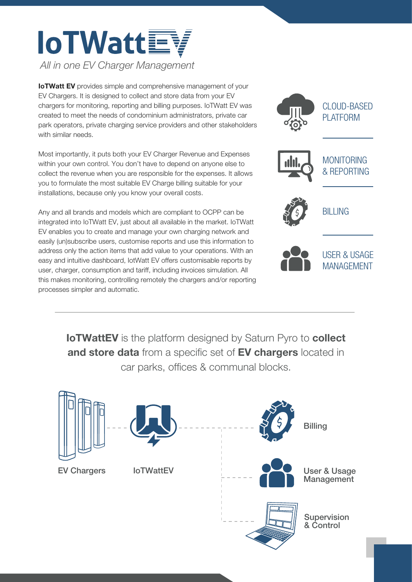## **loTWattEV** *All in one EV Charger Management*

**IoTWatt EV** provides simple and comprehensive management of your EV Chargers. It is designed to collect and store data from your EV chargers for monitoring, reporting and billing purposes. IoTWatt EV was created to meet the needs of condominium administrators, private car park operators, private charging service providers and other stakeholders with similar needs.

Most importantly, it puts both your EV Charger Revenue and Expenses within your own control. You don't have to depend on anyone else to collect the revenue when you are responsible for the expenses. It allows you to formulate the most suitable EV Charge billing suitable for your installations, because only you know your overall costs.

Any and all brands and models which are compliant to OCPP can be integrated into IoTWatt EV, just about all available in the market. IoTWatt EV enables you to create and manage your own charging network and easily (un)subscribe users, customise reports and use this information to address only the action items that add value to your operations. With an easy and intuitive dashboard, IotWatt EV offers customisable reports by user, charger, consumption and tariff, including invoices simulation. All this makes monitoring, controlling remotely the chargers and/or reporting processes simpler and automatic.





USER & USAGE MANAGEMENT

**IoTWattEV** is the platform designed by Saturn Pyro to **collect** and store data from a specific set of EV chargers located in car parks, offices & communal blocks.